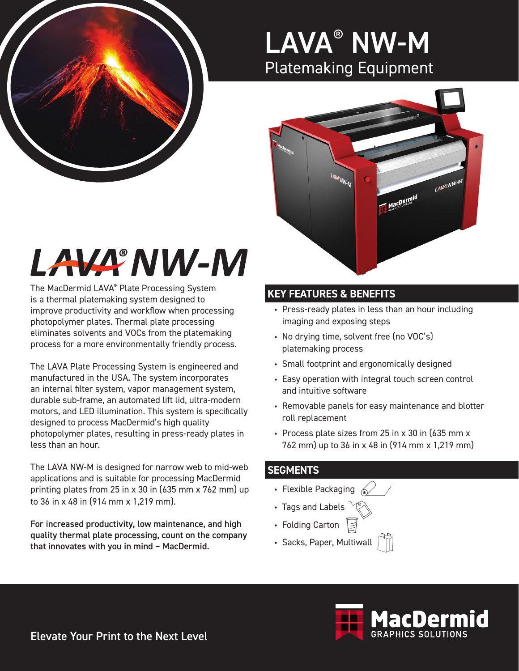

### LAVA® NW-M Platemaking Equipment



# LAVA NW-M

The MacDermid LAVA® Plate Processing System is a thermal platemaking system designed to improve productivity and workflow when processing photopolymer plates. Thermal plate processing eliminates solvents and VOCs from the platemaking process for a more environmentally friendly process.

The LAVA Plate Processing System is engineered and manufactured in the USA. The system incorporates an internal filter system, vapor management system, durable sub-frame, an automated lift lid, ultra-modern motors, and LED illumination. This system is specifically designed to process MacDermid's high quality photopolymer plates, resulting in press-ready plates in less than an hour.

The LAVA NW-M is designed for narrow web to mid-web applications and is suitable for processing MacDermid printing plates from 25 in x 30 in (635 mm x 762 mm) up to 36 in x 48 in (914 mm x 1,219 mm).

For increased productivity, low maintenance, and high quality thermal plate processing, count on the company that innovates with you in mind – MacDermid.

### **KEY FEATURES & BENEFITS**

- Press-ready plates in less than an hour including imaging and exposing steps
- No drying time, solvent free (no VOC's) platemaking process
- Small footprint and ergonomically designed
- Easy operation with integral touch screen control and intuitive software
- Removable panels for easy maintenance and blotter roll replacement
- Process plate sizes from 25 in x 30 in (635 mm x 762 mm) up to 36 in x 48 in (914 mm x 1,219 mm)

#### **SEGMENTS**

- Flexible Packaging  $\mathbb{Z}$
- Tags and Labels
- Folding Carton
- Sacks, Paper, Multiwall